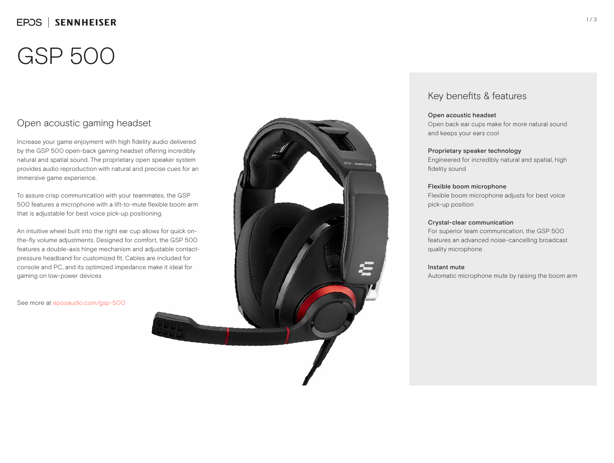## EPOS | SENNHEISER

# GSP 500

### Open acoustic gaming headset

Increase your game enjoyment with high fidelity audio delivered by the GSP 500 open-back gaming headset offering incredibly natural and spatial sound. The proprietary open speaker system provides audio reproduction with natural and precise cues for an immersive game experience.

To assure crisp communication with your teammates, the GSP 500 features a microphone with a lift-to-mute flexible boom arm that is adjustable for best voice pick-up positioning.

An intuitive wheel built into the right ear cup allows for quick onthe-fly volume adjustments. Designed for comfort, the GSP 500 features a double-axis hinge mechanism and adjustable contactpressure headband for customized fit. Cables are included for console and PC, and its optimized impedance make it ideal for gaming on low-power devices

See more at eposaudio.com/gsp-500



### Key benefits & features

#### Open acoustic headset

Open back ear cups make for more natural sound and keeps your ears cool

#### Proprietary speaker technology

Engineered for incredibly natural and spatial, high fidelity sound

#### Flexible boom microphone

Flexible boom microphone adjusts for best voice pick-up position

#### Crystal-clear communication

For superior team communication, the GSP 500 features an advanced noise-cancelling broadcast quality microphone

#### Instant mute

Automatic microphone mute by raising the boom arm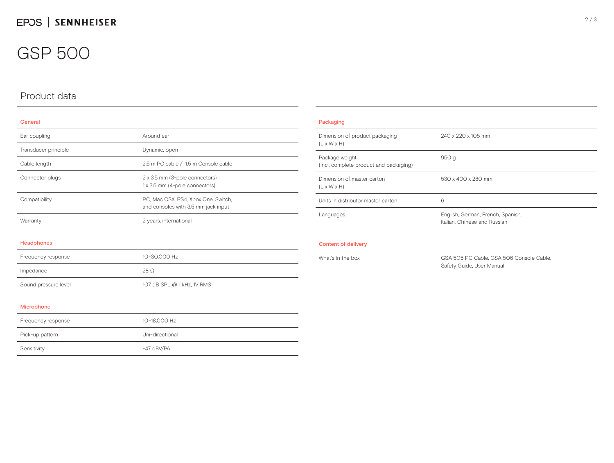## GSP 500

## Product data

#### General

| Ear coupling         | Around ear                                                                 |
|----------------------|----------------------------------------------------------------------------|
| Transducer principle | Dynamic, open                                                              |
| Cable length         | 2.5 m PC cable / 1.5 m Console cable                                       |
| Connector plugs      | 2 x 3.5 mm (3-pole connectors)<br>1 x 3.5 mm (4-pole connectors)           |
| Compatibility        | PC, Mac OSX, PS4, Xbox One, Switch,<br>and consoles with 3.5 mm jack input |
| Warranty             | 2 years, international                                                     |
| Headphones           |                                                                            |
| Frequency response   | 10-30,000 Hz                                                               |
| Impedance            | $28 \Omega$                                                                |
| Sound pressure level | 107 dB SPL @ 1 kHz, 1V RMS                                                 |

| Packaging                                                 |                                                                       |
|-----------------------------------------------------------|-----------------------------------------------------------------------|
| Dimension of product packaging<br>$(L \times W \times H)$ | 240 x 220 x 105 mm                                                    |
| Package weight<br>(incl. complete product and packaging)  | 950 g                                                                 |
| Dimension of master carton<br>$(L \times W \times H)$     | 530 x 400 x 280 mm                                                    |
| Units in distributor master carton                        | 6                                                                     |
| Languages                                                 | English, German, French, Spanish,<br>Italian, Chinese and Russian     |
| Content of delivery                                       |                                                                       |
| What's in the box                                         | GSA 505 PC Cable, GSA 506 Console Cable,<br>Safety Guide, User Manual |

#### Microphone

| Frequency response | 10-18.000 Hz    |
|--------------------|-----------------|
| Pick-up pattern    | Uni-directional |
| Sensitivity        | $-47$ dBV/PA    |